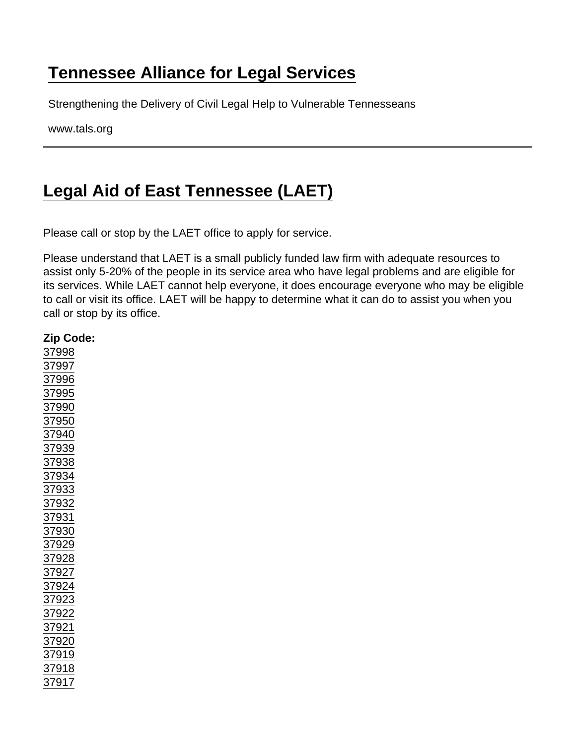## [Tennessee Alliance for Legal Services](https://www.tals.org/)

Strengthening the Delivery of Civil Legal Help to Vulnerable Tennesseans

www.tals.org

## [Legal Aid of East Tennessee \(LAET\)](https://www.tals.org/node/256/legal-aid-east-tennessee-laet)

Please call or stop by the LAET office to apply for service.

Please understand that LAET is a small publicly funded law firm with adequate resources to assist only 5-20% of the people in its service area who have legal problems and are eligible for its services. While LAET cannot help everyone, it does encourage everyone who may be eligible to call or visit its office. LAET will be happy to determine what it can do to assist you when you call or stop by its office.

| Zip Code:                                                                                                                                                                                                                                                                                                                                                                                                                                         |
|---------------------------------------------------------------------------------------------------------------------------------------------------------------------------------------------------------------------------------------------------------------------------------------------------------------------------------------------------------------------------------------------------------------------------------------------------|
|                                                                                                                                                                                                                                                                                                                                                                                                                                                   |
|                                                                                                                                                                                                                                                                                                                                                                                                                                                   |
|                                                                                                                                                                                                                                                                                                                                                                                                                                                   |
|                                                                                                                                                                                                                                                                                                                                                                                                                                                   |
|                                                                                                                                                                                                                                                                                                                                                                                                                                                   |
|                                                                                                                                                                                                                                                                                                                                                                                                                                                   |
|                                                                                                                                                                                                                                                                                                                                                                                                                                                   |
|                                                                                                                                                                                                                                                                                                                                                                                                                                                   |
|                                                                                                                                                                                                                                                                                                                                                                                                                                                   |
|                                                                                                                                                                                                                                                                                                                                                                                                                                                   |
|                                                                                                                                                                                                                                                                                                                                                                                                                                                   |
|                                                                                                                                                                                                                                                                                                                                                                                                                                                   |
|                                                                                                                                                                                                                                                                                                                                                                                                                                                   |
|                                                                                                                                                                                                                                                                                                                                                                                                                                                   |
|                                                                                                                                                                                                                                                                                                                                                                                                                                                   |
|                                                                                                                                                                                                                                                                                                                                                                                                                                                   |
|                                                                                                                                                                                                                                                                                                                                                                                                                                                   |
|                                                                                                                                                                                                                                                                                                                                                                                                                                                   |
|                                                                                                                                                                                                                                                                                                                                                                                                                                                   |
|                                                                                                                                                                                                                                                                                                                                                                                                                                                   |
|                                                                                                                                                                                                                                                                                                                                                                                                                                                   |
|                                                                                                                                                                                                                                                                                                                                                                                                                                                   |
| $\frac{37998}{37997} \underline{37996} \underline{37996} \underline{37996} \underline{37996} \underline{37996} \underline{37996} \underline{37938} \underline{37938} \underline{37933} \underline{37933} \underline{37933} \underline{37933} \underline{37932} \underline{37929} \underline{37922} \underline{37922} \underline{37922} \underline{37922} \underline{37922} \underline{37922} \underline{37922} \underline{37922} \underline{3792$ |
|                                                                                                                                                                                                                                                                                                                                                                                                                                                   |
|                                                                                                                                                                                                                                                                                                                                                                                                                                                   |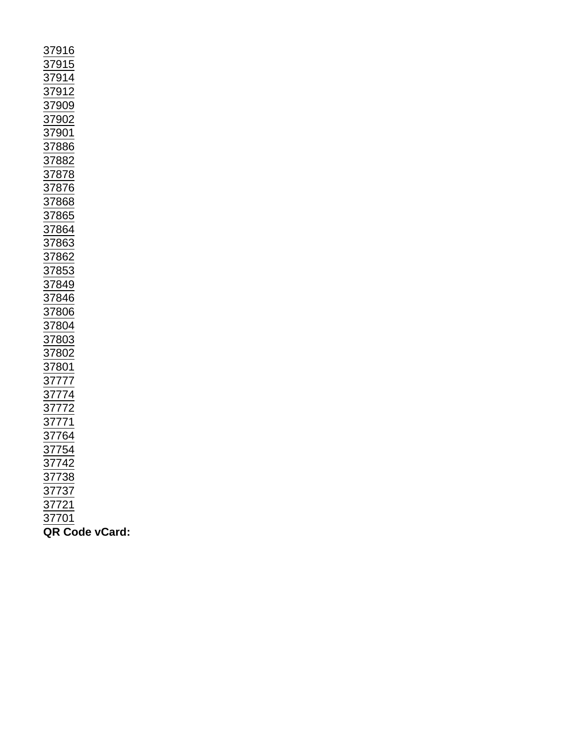| <u>37916</u>                                                                                                                                                                                                                                                                                 |
|----------------------------------------------------------------------------------------------------------------------------------------------------------------------------------------------------------------------------------------------------------------------------------------------|
| 37915<br>37914<br>37912<br>37902<br>37902<br>37902<br>37902<br>37902<br>37902<br>37868<br>37868<br>37868<br>37868<br>37868<br>37868<br>37868<br>37868<br>37868<br>37868<br>37868<br>37868<br>37862<br>37862<br>37862<br>37862<br>37862<br>37862<br>37862<br>37862<br>37862<br>37862<br>37862 |
|                                                                                                                                                                                                                                                                                              |
|                                                                                                                                                                                                                                                                                              |
|                                                                                                                                                                                                                                                                                              |
|                                                                                                                                                                                                                                                                                              |
|                                                                                                                                                                                                                                                                                              |
|                                                                                                                                                                                                                                                                                              |
|                                                                                                                                                                                                                                                                                              |
|                                                                                                                                                                                                                                                                                              |
|                                                                                                                                                                                                                                                                                              |
|                                                                                                                                                                                                                                                                                              |
|                                                                                                                                                                                                                                                                                              |
|                                                                                                                                                                                                                                                                                              |
|                                                                                                                                                                                                                                                                                              |
|                                                                                                                                                                                                                                                                                              |
|                                                                                                                                                                                                                                                                                              |
|                                                                                                                                                                                                                                                                                              |
|                                                                                                                                                                                                                                                                                              |
|                                                                                                                                                                                                                                                                                              |
|                                                                                                                                                                                                                                                                                              |
| 754<br>37                                                                                                                                                                                                                                                                                    |
| 37742                                                                                                                                                                                                                                                                                        |
| 37738<br>37737                                                                                                                                                                                                                                                                               |
| $\frac{37721}{2}$                                                                                                                                                                                                                                                                            |
| $\frac{1}{37701}$<br>QR Code vCard:                                                                                                                                                                                                                                                          |
|                                                                                                                                                                                                                                                                                              |